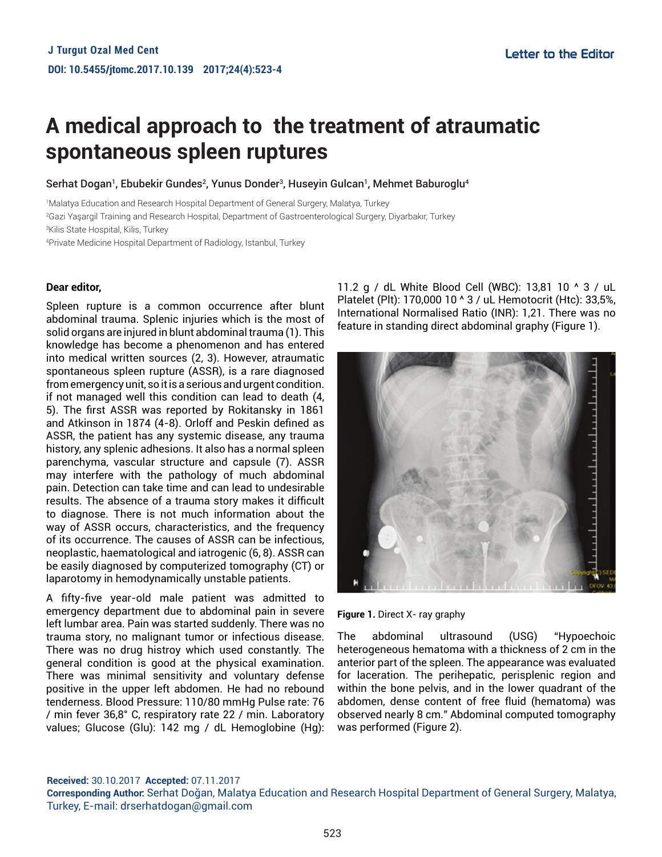## **A medical approach to the treatment of atraumatic spontaneous spleen ruptures**

Serhat Dogan<sup>1</sup>, Ebubekir Gundes<sup>2</sup>, Yunus Donder<sup>3</sup>, Huseyin Gulcan<sup>1</sup>, Mehmet Baburoglu<sup>4</sup>

1 Malatya Education and Research Hospital Department of General Surgery, Malatya, Turkey

2 Gazi Yaşargil Training and Research Hospital, Department of Gastroenterological Surgery, Diyarbakır, Turkey

3 Kilis State Hospital, Kilis, Turkey

4 Private Medicine Hospital Department of Radiology, Istanbul, Turkey

## **Dear editor,**

Spleen rupture is a common occurrence after blunt abdominal trauma. Splenic injuries which is the most of solid organs are injured in blunt abdominal trauma (1). This knowledge has become a phenomenon and has entered into medical written sources (2, 3). However, atraumatic spontaneous spleen rupture (ASSR), is a rare diagnosed from emergency unit, so it is a serious and urgent condition. if not managed well this condition can lead to death (4, 5). The first ASSR was reported by Rokitansky in 1861 and Atkinson in 1874 (4-8). Orloff and Peskin defined as ASSR, the patient has any systemic disease, any trauma history, any splenic adhesions. It also has a normal spleen parenchyma, vascular structure and capsule (7). ASSR may interfere with the pathology of much abdominal pain. Detection can take time and can lead to undesirable results. The absence of a trauma story makes it difficult to diagnose. There is not much information about the way of ASSR occurs, characteristics, and the frequency of its occurrence. The causes of ASSR can be infectious, neoplastic, haematological and iatrogenic (6, 8). ASSR can be easily diagnosed by computerized tomography (CT) or laparotomy in hemodynamically unstable patients.

A fifty-five year-old male patient was admitted to emergency department due to abdominal pain in severe left lumbar area. Pain was started suddenly. There was no trauma story, no malignant tumor or infectious disease. There was no drug histroy which used constantly. The general condition is good at the physical examination. There was minimal sensitivity and voluntary defense positive in the upper left abdomen. He had no rebound tenderness. Blood Pressure: 110/80 mmHg Pulse rate: 76 / min fever 36,8° C, respiratory rate 22 / min. Laboratory values; Glucose (Glu): 142 mg / dL Hemoglobine (Hg): 11.2 g / dL White Blood Cell (WBC): 13,81 10 ^ 3 / uL Platelet (Plt): 170,000 10 ^ 3 / uL Hemotocrit (Htc): 33,5%, International Normalised Ratio (INR): 1,21. There was no feature in standing direct abdominal graphy (Figure 1).



**Figure 1.** Direct X- ray graphy

The abdominal ultrasound (USG) "Hypoechoic heterogeneous hematoma with a thickness of 2 cm in the anterior part of the spleen. The appearance was evaluated for laceration. The perihepatic, perisplenic region and within the bone pelvis, and in the lower quadrant of the abdomen, dense content of free fluid (hematoma) was observed nearly 8 cm." Abdominal computed tomography was performed (Figure 2).

**Received:** 30.10.2017 **Accepted:** 07.11.2017

**Corresponding Author:** Serhat Doğan, Malatya Education and Research Hospital Department of General Surgery, Malatya, Turkey, E-mail: drserhatdogan@gmail.com